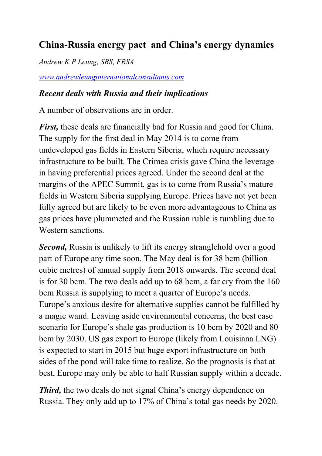# **China-Russia energy pact and China's energy dynamics**

*Andrew K P Leung, SBS, FRSA* 

*[www.andrewleunginternationalconsultants.com](http://www.andrewleunginternationalconsultants.com/)*

#### *Recent deals with Russia and their implications*

A number of observations are in order.

*First*, these deals are financially bad for Russia and good for China. The supply for the first deal in May 2014 is to come from undeveloped gas fields in Eastern Siberia, which require necessary infrastructure to be built. The Crimea crisis gave China the leverage in having preferential prices agreed. Under the second deal at the margins of the APEC Summit, gas is to come from Russia's mature fields in Western Siberia supplying Europe. Prices have not yet been fully agreed but are likely to be even more advantageous to China as gas prices have plummeted and the Russian ruble is tumbling due to Western sanctions.

*Second*, Russia is unlikely to lift its energy stranglehold over a good part of Europe any time soon. The May deal is for 38 bcm (billion cubic metres) of annual supply from 2018 onwards. The second deal is for 30 bcm. The two deals add up to 68 bcm, a far cry from the 160 bcm Russia is supplying to meet a quarter of Europe's needs. Europe's anxious desire for alternative supplies cannot be fulfilled by a magic wand. Leaving aside environmental concerns, the best case scenario for Europe's shale gas production is 10 bcm by 2020 and 80 bcm by 2030. US gas export to Europe (likely from Louisiana LNG) is expected to start in 2015 but huge export infrastructure on both sides of the pond will take time to realize. So the prognosis is that at best, Europe may only be able to half Russian supply within a decade.

*Third*, the two deals do not signal China's energy dependence on Russia. They only add up to 17% of China's total gas needs by 2020.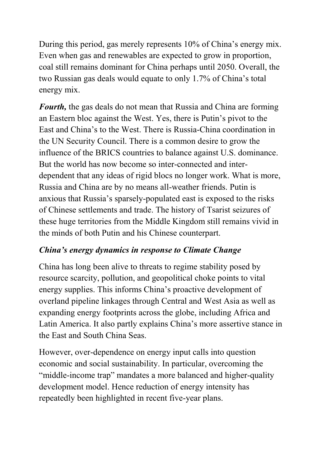During this period, gas merely represents 10% of China's energy mix. Even when gas and renewables are expected to grow in proportion, coal still remains dominant for China perhaps until 2050. Overall, the two Russian gas deals would equate to only 1.7% of China's total energy mix.

*Fourth,* the gas deals do not mean that Russia and China are forming an Eastern bloc against the West. Yes, there is Putin's pivot to the East and China's to the West. There is Russia-China coordination in the UN Security Council. There is a common desire to grow the influence of the BRICS countries to balance against U.S. dominance. But the world has now become so inter-connected and interdependent that any ideas of rigid blocs no longer work. What is more, Russia and China are by no means all-weather friends. Putin is anxious that Russia's sparsely-populated east is exposed to the risks of Chinese settlements and trade. The history of Tsarist seizures of these huge territories from the Middle Kingdom still remains vivid in the minds of both Putin and his Chinese counterpart.

### *China's energy dynamics in response to Climate Change*

China has long been alive to threats to regime stability posed by resource scarcity, pollution, and geopolitical choke points to vital energy supplies. This informs China's proactive development of overland pipeline linkages through Central and West Asia as well as expanding energy footprints across the globe, including Africa and Latin America. It also partly explains China's more assertive stance in the East and South China Seas.

However, over-dependence on energy input calls into question economic and social sustainability. In particular, overcoming the "middle-income trap" mandates a more balanced and higher-quality development model. Hence reduction of energy intensity has repeatedly been highlighted in recent five-year plans.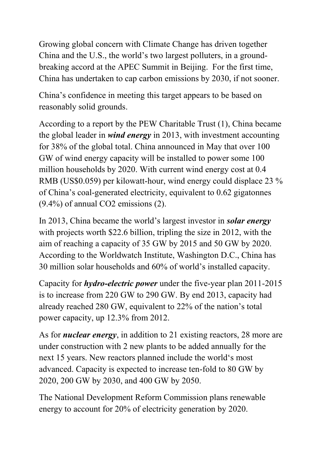Growing global concern with Climate Change has driven together China and the U.S., the world's two largest polluters, in a groundbreaking accord at the APEC Summit in Beijing. For the first time, China has undertaken to cap carbon emissions by 2030, if not sooner.

China's confidence in meeting this target appears to be based on reasonably solid grounds.

According to a report by the PEW Charitable Trust (1), China became the global leader in *wind energy* in 2013, with investment accounting for 38% of the global total. China announced in May that over 100 GW of wind energy capacity will be installed to power some 100 million households by 2020. With current wind energy cost at 0.4 RMB (US\$0.059) per kilowatt-hour, wind energy could displace 23 % of China's coal-generated electricity, equivalent to 0.62 gigatonnes (9.4%) of annual CO2 emissions (2).

In 2013, China became the world's largest investor in *solar energy* with projects worth \$22.6 billion, tripling the size in 2012, with the aim of reaching a capacity of 35 GW by 2015 and 50 GW by 2020. According to the Worldwatch Institute, Washington D.C., China has 30 million solar households and 60% of world's installed capacity.

Capacity for *hydro-electric power* under the five-year plan 2011-2015 is to increase from 220 GW to 290 GW. By end 2013, capacity had already reached 280 GW, equivalent to 22% of the nation's total power capacity, up 12.3% from 2012.

As for *nuclear energy*, in addition to 21 existing reactors, 28 more are under construction with 2 new plants to be added annually for the next 15 years. New reactors planned include the world's most advanced. Capacity is expected to increase ten-fold to 80 GW by 2020, 200 GW by 2030, and 400 GW by 2050.

The National Development Reform Commission plans renewable energy to account for 20% of electricity generation by 2020.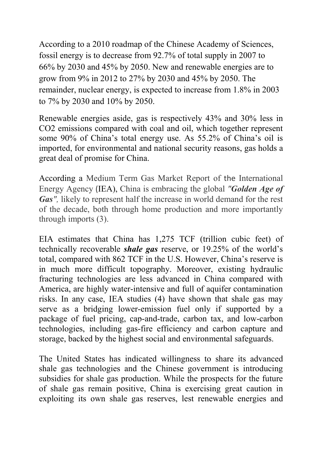According to a 2010 roadmap of the Chinese Academy of Sciences, fossil energy is to decrease from 92.7% of total supply in 2007 to 66% by 2030 and 45% by 2050. New and renewable energies are to grow from 9% in 2012 to 27% by 2030 and 45% by 2050. The remainder, nuclear energy, is expected to increase from 1.8% in 2003 to 7% by 2030 and 10% by 2050.

Renewable energies aside, gas is respectively 43% and 30% less in CO2 emissions compared with coal and oil, which together represent some 90% of China's total energy use. As 55.2% of China's oil is imported, for environmental and national security reasons, gas holds a great deal of promise for China.

According a Medium Term Gas Market Report of the International Energy Agency (IEA), China is embracing the global *"Golden Age of Gas*<sup>"</sup>, likely to represent half the increase in world demand for the rest of the decade, both through home production and more importantly through imports (3).

EIA estimates that China has 1,275 TCF (trillion cubic feet) of technically recoverable *shale gas* reserve, or 19.25% of the world's total, compared with 862 TCF in the U.S. However, China's reserve is in much more difficult topography. Moreover, existing hydraulic fracturing technologies are less advanced in China compared with America, are highly water-intensive and full of aquifer contamination risks. In any case, IEA studies (4) have shown that shale gas may serve as a bridging lower-emission fuel only if supported by a package of fuel pricing, cap-and-trade, carbon tax, and low-carbon technologies, including gas-fire efficiency and carbon capture and storage, backed by the highest social and environmental safeguards.

The United States has indicated willingness to share its advanced shale gas technologies and the Chinese government is introducing subsidies for shale gas production. While the prospects for the future of shale gas remain positive, China is exercising great caution in exploiting its own shale gas reserves, lest renewable energies and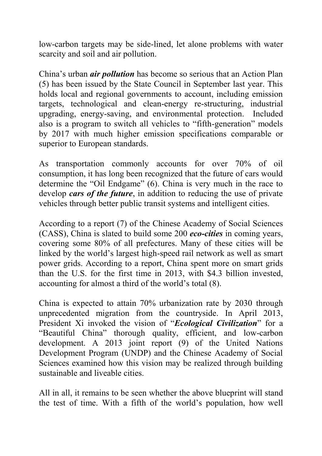low-carbon targets may be side-lined, let alone problems with water scarcity and soil and air pollution.

China's urban *air pollution* has become so serious that an Action Plan (5) has been issued by the State Council in September last year. This holds local and regional governments to account, including emission targets, technological and clean-energy re-structuring, industrial upgrading, energy-saving, and environmental protection. Included also is a program to switch all vehicles to "fifth-generation" models by 2017 with much higher emission specifications comparable or superior to European standards.

As transportation commonly accounts for over 70% of oil consumption, it has long been recognized that the future of cars would determine the "Oil Endgame" (6). China is very much in the race to develop *cars of the future*, in addition to reducing the use of private vehicles through better public transit systems and intelligent cities.

According to a report (7) of the Chinese Academy of Social Sciences (CASS), China is slated to build some 200 *eco-cities* in coming years, covering some 80% of all prefectures. Many of these cities will be linked by the world's largest high-speed rail network as well as smart power grids. According to a report, China spent more on smart grids than the U.S. for the first time in 2013, with \$4.3 billion invested, accounting for almost a third of the world's total (8).

China is expected to attain 70% urbanization rate by 2030 through unprecedented migration from the countryside. In April 2013, President Xi invoked the vision of "*Ecological Civilization*" for a "Beautiful China" thorough quality, efficient, and low-carbon development. A 2013 joint report (9) of the United Nations Development Program (UNDP) and the Chinese Academy of Social Sciences examined how this vision may be realized through building sustainable and liveable cities.

All in all, it remains to be seen whether the above blueprint will stand the test of time. With a fifth of the world's population, how well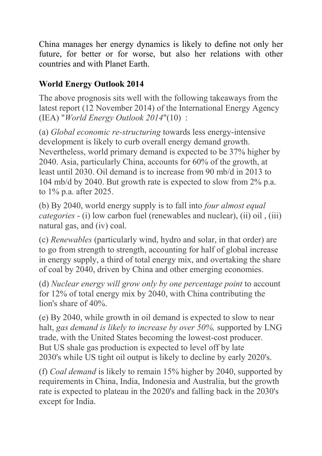China manages her energy dynamics is likely to define not only her future, for better or for worse, but also her relations with other countries and with Planet Earth.

# **World Energy Outlook 2014**

The above prognosis sits well with the following takeaways from the latest report (12 November 2014) of the International Energy Agency (IEA) "*World Energy Outlook 2014*"(10) :

(a) *Global economic re-structuring* towards less energy-intensive development is likely to curb overall energy demand growth. Nevertheless, world primary demand is expected to be 37% higher by 2040. Asia, particularly China, accounts for 60% of the growth, at least until 2030. Oil demand is to increase from 90 mb/d in 2013 to 104 mb/d by 2040. But growth rate is expected to slow from 2% p.a. to 1% p.a. after 2025.

(b) By 2040, world energy supply is to fall into *four almost equal categories* - (i) low carbon fuel (renewables and nuclear), (ii) oil , (iii) natural gas, and (iv) coal.

(c) *Renewables* (particularly wind, hydro and solar, in that order) are to go from strength to strength, accounting for half of global increase in energy supply, a third of total energy mix, and overtaking the share of coal by 2040, driven by China and other emerging economies.

(d) *Nuclear energy will grow only by one percentage point* to account for 12% of total energy mix by 2040, with China contributing the lion's share of 40%.

(e) By 2040, while growth in oil demand is expected to slow to near halt, *gas demand is likely to increase by over 50%,* supported by LNG trade, with the United States becoming the lowest-cost producer. But US shale gas production is expected to level off by late 2030's while US tight oil output is likely to decline by early 2020's.

(f) *Coal demand* is likely to remain 15% higher by 2040, supported by requirements in China, India, Indonesia and Australia, but the growth rate is expected to plateau in the 2020's and falling back in the 2030's except for India.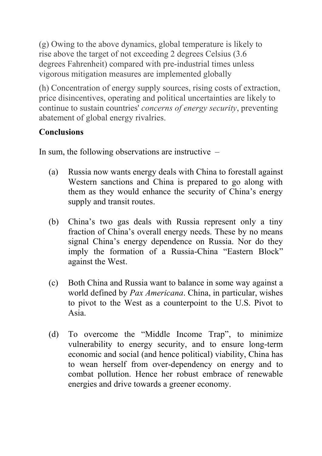(g) Owing to the above dynamics, global temperature is likely to rise above the target of not exceeding 2 degrees Celsius (3.6 degrees Fahrenheit) compared with pre-industrial times unless vigorous mitigation measures are implemented globally

(h) Concentration of energy supply sources, rising costs of extraction, price disincentives, operating and political uncertainties are likely to continue to sustain countries' *concerns of energy security*, preventing abatement of global energy rivalries.

# **Conclusions**

In sum, the following observations are instructive –

- (a) Russia now wants energy deals with China to forestall against Western sanctions and China is prepared to go along with them as they would enhance the security of China's energy supply and transit routes.
- (b) China's two gas deals with Russia represent only a tiny fraction of China's overall energy needs. These by no means signal China's energy dependence on Russia. Nor do they imply the formation of a Russia-China "Eastern Block" against the West.
- (c) Both China and Russia want to balance in some way against a world defined by *Pax Americana*. China, in particular, wishes to pivot to the West as a counterpoint to the U.S. Pivot to Asia.
- (d) To overcome the "Middle Income Trap", to minimize vulnerability to energy security, and to ensure long-term economic and social (and hence political) viability, China has to wean herself from over-dependency on energy and to combat pollution. Hence her robust embrace of renewable energies and drive towards a greener economy.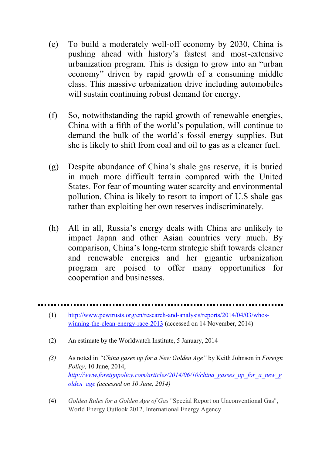- (e) To build a moderately well-off economy by 2030, China is pushing ahead with history's fastest and most-extensive urbanization program. This is design to grow into an "urban economy" driven by rapid growth of a consuming middle class. This massive urbanization drive including automobiles will sustain continuing robust demand for energy.
- (f) So, notwithstanding the rapid growth of renewable energies, China with a fifth of the world's population, will continue to demand the bulk of the world's fossil energy supplies. But she is likely to shift from coal and oil to gas as a cleaner fuel.
- (g) Despite abundance of China's shale gas reserve, it is buried in much more difficult terrain compared with the United States. For fear of mounting water scarcity and environmental pollution, China is likely to resort to import of U.S shale gas rather than exploiting her own reserves indiscriminately.
- (h) All in all, Russia's energy deals with China are unlikely to impact Japan and other Asian countries very much. By comparison, China's long-term strategic shift towards cleaner and renewable energies and her gigantic urbanization program are poised to offer many opportunities for cooperation and businesses.

- (1) [http://www.pewtrusts.org/en/research-and-analysis/reports/2014/04/03/whos](http://www.pewtrusts.org/en/research-and-analysis/reports/2014/04/03/whos-winning-the-clean-energy-race-2013)[winning-the-clean-energy-race-2013](http://www.pewtrusts.org/en/research-and-analysis/reports/2014/04/03/whos-winning-the-clean-energy-race-2013) (accessed on 14 November, 2014)
- (2) An estimate by the Worldwatch Institute, 5 January, 2014
- *(3)* As noted in *"China gases up for a New Golden Age"* by Keith Johnson in *Foreign Policy*, 10 June, 2014, *[http://www.foreignpolicy.com/articles/2014/06/10/china\\_gasses\\_up\\_for\\_a\\_new\\_g](http://www.foreignpolicy.com/articles/2014/06/10/china_gasses_up_for_a_new_golden_age) [olden\\_age](http://www.foreignpolicy.com/articles/2014/06/10/china_gasses_up_for_a_new_golden_age) (accessed on 10 June, 2014)*
- (4) *Golden Rules for a Golden Age of Gas* "Special Report on Unconventional Gas", World Energy Outlook 2012, International Energy Agency